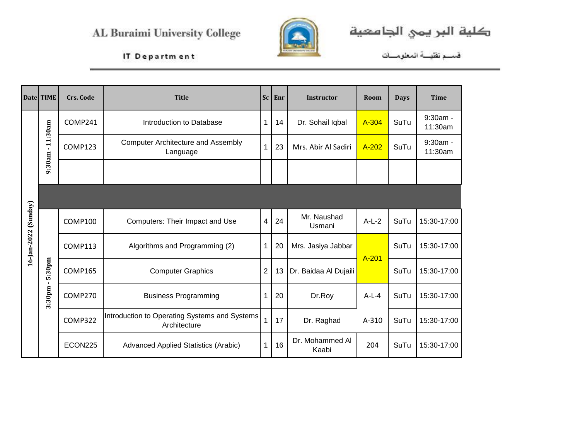

كلية البريمي الجامعية

IT Department

فسم تقليسة المعلومسات

|             | Date TIME              | Crs. Code      | <b>Title</b>                                                  | Sc                      | Enr | <b>Instructor</b>        | Room    | <b>Days</b> | <b>Time</b>         |
|-------------|------------------------|----------------|---------------------------------------------------------------|-------------------------|-----|--------------------------|---------|-------------|---------------------|
|             |                        | COMP241        | Introduction to Database                                      | 1                       | 14  | Dr. Sohail Iqbal         | A-304   | SuTu        | 9:30am -<br>11:30am |
|             | $-11:30am$             | COMP123        | <b>Computer Architecture and Assembly</b><br>Language         | 1                       | 23  | Mrs. Abir Al Sadiri      | A-202   | SuTu        | 9:30am -<br>11:30am |
|             | 9:30am                 |                |                                                               |                         |     |                          |         |             |                     |
|             |                        |                |                                                               |                         |     |                          |         |             |                     |
| (Sunday)    |                        | COMP100        | Computers: Their Impact and Use                               | $\overline{\mathbf{4}}$ | 24  | Mr. Naushad<br>Usmani    | $A-L-2$ | SuTu        | 15:30-17:00         |
| 16-Jan-2022 |                        | <b>COMP113</b> | Algorithms and Programming (2)                                | 1                       | 20  | Mrs. Jasiya Jabbar       | A-201   | SuTu        | 15:30-17:00         |
|             | 5:30pm<br>$\mathbf{L}$ | <b>COMP165</b> | <b>Computer Graphics</b>                                      | $\overline{2}$          | 13  | Dr. Baidaa Al Dujaili    |         | SuTu        | 15:30-17:00         |
|             | 3:30pm                 | COMP270        | <b>Business Programming</b>                                   | 1                       | 20  | Dr.Roy                   | $A-L-4$ | SuTu        | 15:30-17:00         |
|             |                        | COMP322        | Introduction to Operating Systems and Systems<br>Architecture | $\overline{1}$          | 17  | Dr. Raghad               | A-310   | SuTu        | 15:30-17:00         |
|             |                        | ECON225        | <b>Advanced Applied Statistics (Arabic)</b>                   | 1                       | 16  | Dr. Mohammed Al<br>Kaabi | 204     | SuTu        | 15:30-17:00         |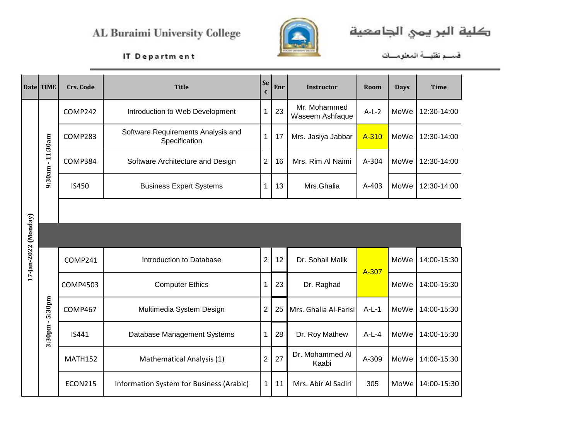Mathematical Analysis (1)

Information System for Business (Arabic)



كلية البريمي الجامعية

IT Department

**MATH152** 

**ECON215** 

|                      | Datel TIME             | <b>Crs. Code</b> | <b>Title</b>                                        | Se<br>$\mathbf{c}$ | Enr | <b>Instructor</b>               | Room    | <b>Days</b> | <b>Time</b> |
|----------------------|------------------------|------------------|-----------------------------------------------------|--------------------|-----|---------------------------------|---------|-------------|-------------|
|                      |                        | COMP242          | Introduction to Web Development                     | 1                  | 23  | Mr. Mohammed<br>Waseem Ashfaque | $A-L-2$ | MoWe        | 12:30-14:00 |
|                      | 11:30am                | COMP283          | Software Requirements Analysis and<br>Specification | 1                  | 17  | Mrs. Jasiya Jabbar              | A-310   | MoWe        | 12:30-14:00 |
|                      | $\mathbf{r}$           | COMP384          | Software Architecture and Design                    | 2                  | 16  | Mrs. Rim Al Naimi               | A-304   | MoWe        | 12:30-14:00 |
|                      | 9:30am                 | IS450            | <b>Business Expert Systems</b>                      | 1                  | 13  | Mrs.Ghalia                      | A-403   | MoWe        | 12:30-14:00 |
|                      |                        |                  |                                                     |                    |     |                                 |         |             |             |
| 17-Jan-2022 (Monday) |                        |                  |                                                     |                    |     |                                 |         |             |             |
|                      |                        | COMP241          | Introduction to Database                            | $\overline{2}$     | 12  | Dr. Sohail Malik                | A-307   | MoWe        | 14:00-15:30 |
|                      |                        | <b>COMP4503</b>  | <b>Computer Ethics</b>                              |                    | 23  | Dr. Raghad                      |         | MoWe        | 14:00-15:30 |
|                      | 5:30pm<br>$\mathbf{I}$ | COMP467          | Multimedia System Design                            | 2                  | 25  | Mrs. Ghalia Al-Farisi           | $A-L-1$ | MoWe        | 14:00-15:30 |
|                      | 3:30pm                 | IS441            | Database Management Systems                         |                    | 28  | Dr. Roy Mathew                  | $A-L-4$ | MoWe        | 14:00-15:30 |
|                      |                        |                  |                                                     |                    |     |                                 |         |             |             |

 $2 \mid 27$ 

 $1\vert$ 

11

Dr. Mohammed Al

Kaabi

Mrs. Abir Al Sadiri

A-309

305

MoWe 14:00-15:30

MoWe 14:00-15:30

فسم تقيسة المعلومسات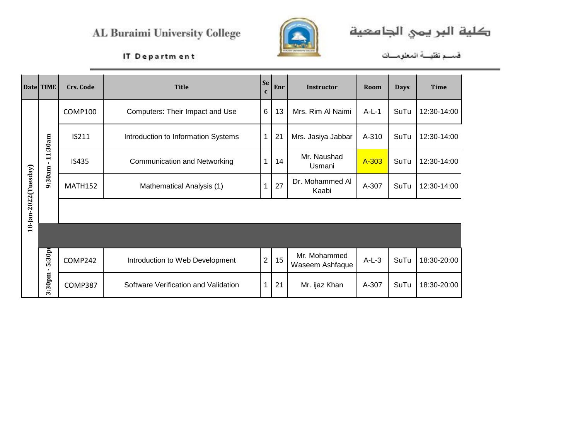

كلية البريمي الجامعية

IT Department

فسم تقنيسة المعلومسات

|                       | Date TIME    | Crs. Code      | <b>Title</b>                         | Se<br>$\mathbf c$ | Enr | <b>Instructor</b>               | Room    | <b>Days</b> | <b>Time</b> |
|-----------------------|--------------|----------------|--------------------------------------|-------------------|-----|---------------------------------|---------|-------------|-------------|
|                       |              | COMP100        | Computers: Their Impact and Use      | 6                 | 13  | Mrs. Rim Al Naimi               | $A-L-1$ | SuTu        | 12:30-14:00 |
|                       | 11:30am      | IS211          | Introduction to Information Systems  | $\overline{1}$    | 21  | Mrs. Jasiya Jabbar              | A-310   | SuTu        | 12:30-14:00 |
|                       | $\mathbf{I}$ | IS435          | <b>Communication and Networking</b>  |                   | 14  | Mr. Naushad<br>Usmani           | A-303   | SuTu        | 12:30-14:00 |
| 18-Jan-2022 (Tuesday) | 9:30am       | <b>MATH152</b> | Mathematical Analysis (1)            | 1                 | 27  | Dr. Mohammed Al<br>Kaabi        | A-307   | SuTu        | 12:30-14:00 |
|                       |              |                |                                      |                   |     |                                 |         |             |             |
|                       |              |                |                                      |                   |     |                                 |         |             |             |
|                       | 5:30pr<br>л. | COMP242        | Introduction to Web Development      | $\overline{2}$    | 15  | Mr. Mohammed<br>Waseem Ashfaque | $A-L-3$ | SuTu        | 18:30-20:00 |
|                       | 3:30pm       | COMP387        | Software Verification and Validation | 1                 | 21  | Mr. ijaz Khan                   | A-307   | SuTu        | 18:30-20:00 |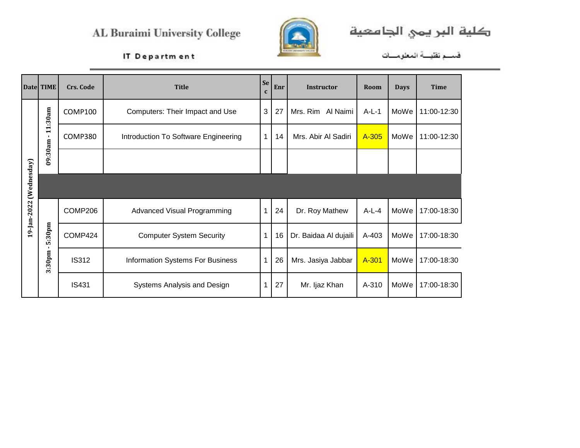

كلية البريمي الجامعية

#### IT Department

فسم تقليسة المعلومسات

|                         | Date TIME              | Crs. Code    | <b>Title</b>                         | <b>Se</b>    | Enr | <b>Instructor</b>     | Room    | <b>Days</b> | <b>Time</b> |
|-------------------------|------------------------|--------------|--------------------------------------|--------------|-----|-----------------------|---------|-------------|-------------|
|                         | 11:30am                | COMP100      | Computers: Their Impact and Use      | 3            | 27  | Mrs. Rim Al Naimi     | $A-L-1$ | MoWe        | 11:00-12:30 |
|                         |                        | COMP380      | Introduction To Software Engineering | $\mathbf{1}$ | 14  | Mrs. Abir Al Sadiri   | A-305   | MoWe        | 11:00-12:30 |
|                         | 09:30am-               |              |                                      |              |     |                       |         |             |             |
| $(\mathsf{We}$ dnesday) |                        |              |                                      |              |     |                       |         |             |             |
| 19-Jan-2022             |                        | COMP206      | <b>Advanced Visual Programming</b>   | $\mathbf 1$  | 24  | Dr. Roy Mathew        | $A-L-4$ | MoWe        | 17:00-18:30 |
|                         | 5:30pm                 | COMP424      | <b>Computer System Security</b>      | 1            | 16  | Dr. Baidaa Al dujaili | A-403   | MoWe        | 17:00-18:30 |
|                         | $\mathbf{I}$<br>3:30pm | <b>IS312</b> | Information Systems For Business     | 1            | 26  | Mrs. Jasiya Jabbar    | A-301   | MoWe        | 17:00-18:30 |
|                         |                        | <b>IS431</b> | Systems Analysis and Design          | 1            | 27  | Mr. Ijaz Khan         | A-310   | MoWe        | 17:00-18:30 |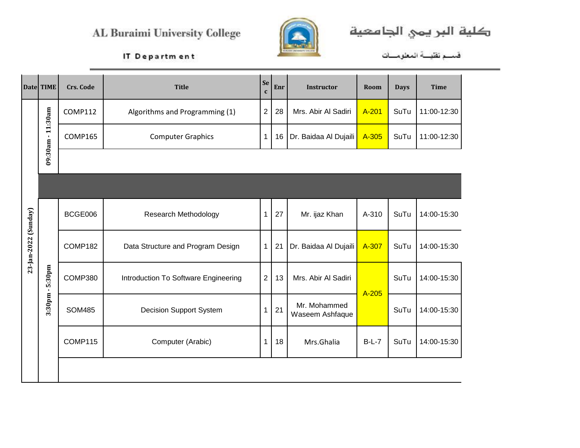

كلية البر يمي الجامعية<br>قسم تقيــة المعلومـــات

|                      | Date TIME              | <b>Crs. Code</b> | <b>Title</b>                         | Se<br>$\mathbf{c}$ | Enr | <b>Instructor</b>               | Room    | <b>Days</b> | <b>Time</b> |
|----------------------|------------------------|------------------|--------------------------------------|--------------------|-----|---------------------------------|---------|-------------|-------------|
|                      | 11:30am                | <b>COMP112</b>   | Algorithms and Programming (1)       | $\overline{2}$     | 28  | Mrs. Abir Al Sadiri             | A-201   | SuTu        | 11:00-12:30 |
|                      |                        | <b>COMP165</b>   | <b>Computer Graphics</b>             | $\mathbf{1}$       | 16  | Dr. Baidaa Al Dujaili           | A-305   | SuTu        | 11:00-12:30 |
|                      | 09:30am-               |                  |                                      |                    |     |                                 |         |             |             |
|                      |                        |                  |                                      |                    |     |                                 |         |             |             |
|                      |                        | BCGE006          | <b>Research Methodology</b>          | $\mathbf{1}$       | 27  | Mr. ijaz Khan                   | A-310   | SuTu        | 14:00-15:30 |
| 23-Jan-2022 (Sunday) |                        | COMP182          | Data Structure and Program Design    | 1                  | 21  | Dr. Baidaa Al Dujaili           | A-307   | SuTu        | 14:00-15:30 |
|                      | 5:30pm<br>$\mathbf{L}$ | COMP380          | Introduction To Software Engineering | $\overline{2}$     | 13  | Mrs. Abir Al Sadiri             |         | SuTu        | 14:00-15:30 |
|                      | 3:30pm                 | <b>SOM485</b>    | <b>Decision Support System</b>       | $\mathbf 1$        | 21  | Mr. Mohammed<br>Waseem Ashfaque | A-205   | SuTu        | 14:00-15:30 |
|                      |                        | COMP115          | Computer (Arabic)                    | 1                  | 18  | Mrs.Ghalia                      | $B-L-7$ | SuTu        | 14:00-15:30 |
|                      |                        |                  |                                      |                    |     |                                 |         |             |             |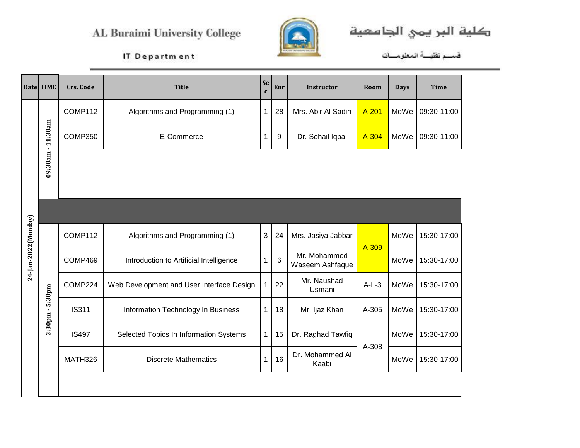

كلية البر يمي الجامعية<br>قسم تقيــة المعلومـــات

|                      | Date TIME         | <b>Crs. Code</b> | <b>Title</b>                              | <b>Se</b><br>$\mathbf c$ | Enr | <b>Instructor</b>               | Room    | <b>Days</b> | <b>Time</b> |
|----------------------|-------------------|------------------|-------------------------------------------|--------------------------|-----|---------------------------------|---------|-------------|-------------|
|                      |                   | COMP112          | Algorithms and Programming (1)            | 1                        | 28  | Mrs. Abir Al Sadiri             | A-201   | MoWe        | 09:30-11:00 |
|                      |                   | COMP350          | E-Commerce                                | 1                        | 9   | Dr. Sohail Iqbal                | A-304   | MoWe        | 09:30-11:00 |
|                      | 09:30am - 11:30am |                  |                                           |                          |     |                                 |         |             |             |
|                      |                   |                  |                                           |                          |     |                                 |         |             |             |
|                      |                   | COMP112          | Algorithms and Programming (1)            | 3                        | 24  | Mrs. Jasiya Jabbar              | A-309   | MoWe        | 15:30-17:00 |
| 24-Jan-2022 (Monday) |                   | COMP469          | Introduction to Artificial Intelligence   | 1.                       | 6   | Mr. Mohammed<br>Waseem Ashfaque |         | MoWe        | 15:30-17:00 |
|                      | 5:30pm            | COMP224          | Web Development and User Interface Design |                          | 22  | Mr. Naushad<br>Usmani           | $A-L-3$ | MoWe        | 15:30-17:00 |
|                      | 3:30pm-           | <b>IS311</b>     | Information Technology In Business        | 1                        | 18  | Mr. Ijaz Khan                   | A-305   | MoWe        | 15:30-17:00 |
|                      |                   | <b>IS497</b>     | Selected Topics In Information Systems    | 1                        | 15  | Dr. Raghad Tawfiq               |         | MoWe        | 15:30-17:00 |
|                      |                   | MATH326          | <b>Discrete Mathematics</b>               | 1                        | 16  | Dr. Mohammed Al<br>Kaabi        | A-308   | MoWe        | 15:30-17:00 |
|                      |                   |                  |                                           |                          |     |                                 |         |             |             |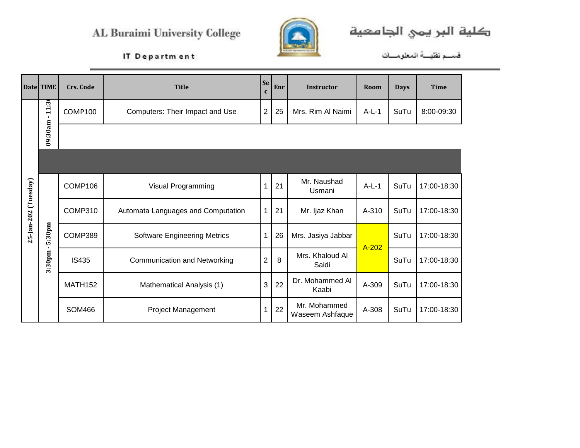

كلية البريمي الجامعية

فسم تقليسة المعلومسات

|                      | Date TIME                                    | <b>Crs. Code</b> | <b>Title</b>                        | <b>Se</b><br>$\mathbf c$ | Enr | <b>Instructor</b>               | Room    | <b>Days</b> | <b>Time</b> |
|----------------------|----------------------------------------------|------------------|-------------------------------------|--------------------------|-----|---------------------------------|---------|-------------|-------------|
|                      | $\overline{2}$<br>$\ddot{z}$<br>$\mathbf{r}$ | COMP100          | Computers: Their Impact and Use     | $\overline{2}$           | 25  | Mrs. Rim Al Naimi               | $A-L-1$ | SuTu        | 8:00-09:30  |
|                      | 09:30am                                      |                  |                                     |                          |     |                                 |         |             |             |
|                      |                                              |                  |                                     |                          |     |                                 |         |             |             |
|                      |                                              | COMP106          | Visual Programming                  | $\overline{1}$           | 21  | Mr. Naushad<br>Usmani           | $A-L-1$ | SuTu        | 17:00-18:30 |
| 25-Jan-202 (Tuesday) |                                              | COMP310          | Automata Languages and Computation  | 1                        | 21  | Mr. Ijaz Khan                   | A-310   | SuTu        | 17:00-18:30 |
|                      | 5:30pm<br>$\mathbf{I}$                       | COMP389          | <b>Software Engineering Metrics</b> | $\mathbf 1$              | 26  | Mrs. Jasiya Jabbar              | $A-202$ | SuTu        | 17:00-18:30 |
|                      | 3:30pm                                       | <b>IS435</b>     | <b>Communication and Networking</b> | $\overline{2}$           | 8   | Mrs. Khaloud Al<br>Saidi        |         | SuTu        | 17:00-18:30 |
|                      |                                              | <b>MATH152</b>   | Mathematical Analysis (1)           | 3                        | 22  | Dr. Mohammed Al<br>Kaabi        | A-309   | SuTu        | 17:00-18:30 |
|                      |                                              | <b>SOM466</b>    | Project Management                  |                          | 22  | Mr. Mohammed<br>Waseem Ashfaque | A-308   | SuTu        | 17:00-18:30 |